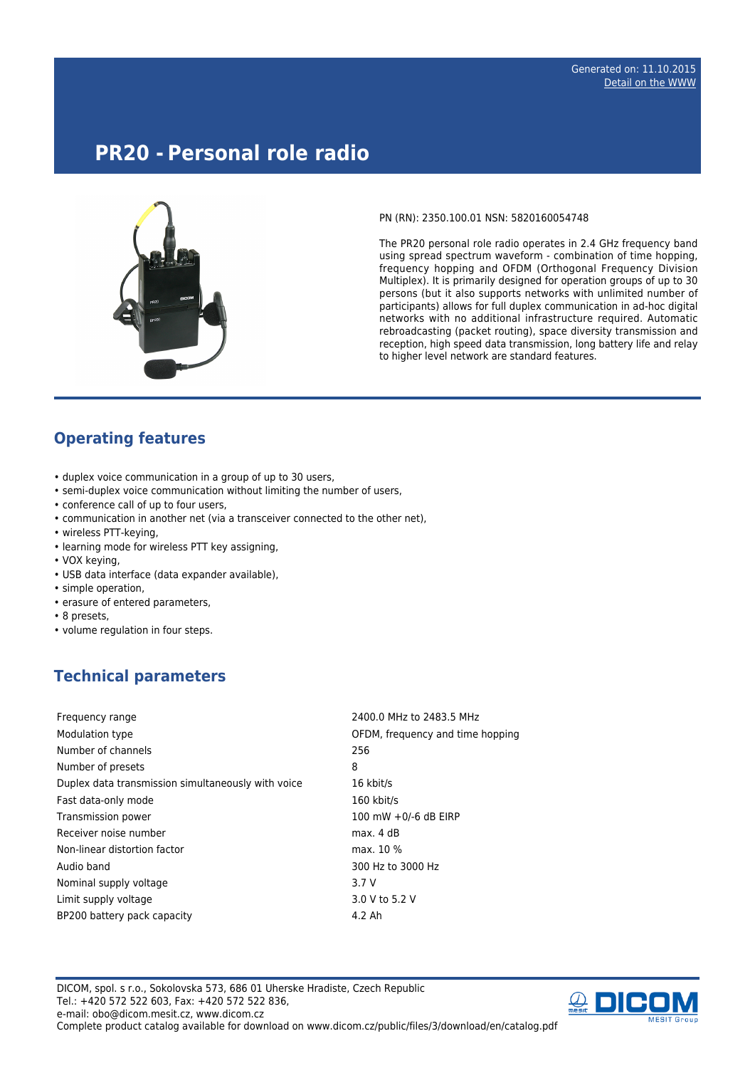# **PR20 - Personal role radio**



PN (RN): 2350.100.01 NSN: 5820160054748

The PR20 personal role radio operates in 2.4 GHz frequency band using spread spectrum waveform - combination of time hopping, frequency hopping and OFDM (Orthogonal Frequency Division Multiplex). It is primarily designed for operation groups of up to 30 persons (but it also supports networks with unlimited number of participants) allows for full duplex communication in ad-hoc digital networks with no additional infrastructure required. Automatic rebroadcasting (packet routing), space diversity transmission and reception, high speed data transmission, long battery life and relay to higher level network are standard features.

#### **Operating features**

- duplex voice communication in a group of up to 30 users,
- semi-duplex voice communication without limiting the number of users,
- conference call of up to four users,
- communication in another net (via a transceiver connected to the other net),
- wireless PTT-keying,
- learning mode for wireless PTT key assigning,
- VOX keying,
- USB data interface (data expander available),
- simple operation,
- erasure of entered parameters,
- 8 presets,
- volume regulation in four steps.

## **Technical parameters**

| Frequency range                                    | 2400.0 MHz to 2483.5 MHz         |
|----------------------------------------------------|----------------------------------|
| Modulation type                                    | OFDM, frequency and time hopping |
| Number of channels                                 | 256                              |
| Number of presets                                  | 8                                |
| Duplex data transmission simultaneously with voice | 16 kbit/s                        |
| Fast data-only mode                                | 160 kbit/s                       |
| Transmission power                                 | 100 mW +0/-6 dB EIRP             |
| Receiver noise number                              | max. 4 dB                        |
| Non-linear distortion factor                       | max. 10 %                        |
| Audio band                                         | 300 Hz to 3000 Hz                |
| Nominal supply voltage                             | 3.7 V                            |
| Limit supply voltage                               | 3.0 V to 5.2 V                   |
| BP200 battery pack capacity                        | 4.2 Ah                           |